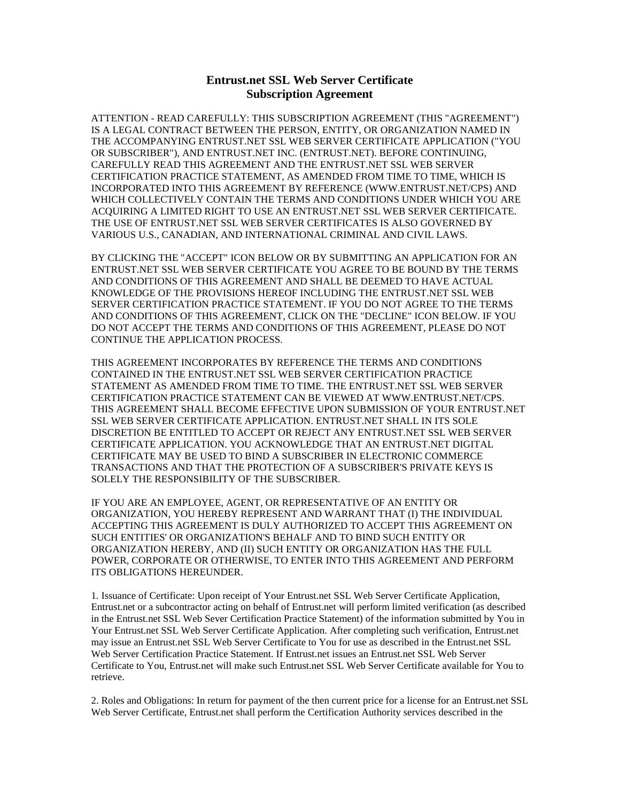## **Entrust.net SSL Web Server Certificate Subscription Agreement**

ATTENTION - READ CAREFULLY: THIS SUBSCRIPTION AGREEMENT (THIS "AGREEMENT") IS A LEGAL CONTRACT BETWEEN THE PERSON, ENTITY, OR ORGANIZATION NAMED IN THE ACCOMPANYING ENTRUST.NET SSL WEB SERVER CERTIFICATE APPLICATION ("YOU OR SUBSCRIBER"), AND ENTRUST.NET INC. (ENTRUST.NET). BEFORE CONTINUING, CAREFULLY READ THIS AGREEMENT AND THE ENTRUST.NET SSL WEB SERVER CERTIFICATION PRACTICE STATEMENT, AS AMENDED FROM TIME TO TIME, WHICH IS INCORPORATED INTO THIS AGREEMENT BY REFERENCE (WWW.ENTRUST.NET/CPS) AND WHICH COLLECTIVELY CONTAIN THE TERMS AND CONDITIONS UNDER WHICH YOU ARE ACQUIRING A LIMITED RIGHT TO USE AN ENTRUST.NET SSL WEB SERVER CERTIFICATE. THE USE OF ENTRUST.NET SSL WEB SERVER CERTIFICATES IS ALSO GOVERNED BY VARIOUS U.S., CANADIAN, AND INTERNATIONAL CRIMINAL AND CIVIL LAWS.

BY CLICKING THE "ACCEPT" ICON BELOW OR BY SUBMITTING AN APPLICATION FOR AN ENTRUST.NET SSL WEB SERVER CERTIFICATE YOU AGREE TO BE BOUND BY THE TERMS AND CONDITIONS OF THIS AGREEMENT AND SHALL BE DEEMED TO HAVE ACTUAL KNOWLEDGE OF THE PROVISIONS HEREOF INCLUDING THE ENTRUST.NET SSL WEB SERVER CERTIFICATION PRACTICE STATEMENT. IF YOU DO NOT AGREE TO THE TERMS AND CONDITIONS OF THIS AGREEMENT, CLICK ON THE "DECLINE" ICON BELOW. IF YOU DO NOT ACCEPT THE TERMS AND CONDITIONS OF THIS AGREEMENT, PLEASE DO NOT CONTINUE THE APPLICATION PROCESS.

THIS AGREEMENT INCORPORATES BY REFERENCE THE TERMS AND CONDITIONS CONTAINED IN THE ENTRUST.NET SSL WEB SERVER CERTIFICATION PRACTICE STATEMENT AS AMENDED FROM TIME TO TIME. THE ENTRUST.NET SSL WEB SERVER CERTIFICATION PRACTICE STATEMENT CAN BE VIEWED AT WWW.ENTRUST.NET/CPS. THIS AGREEMENT SHALL BECOME EFFECTIVE UPON SUBMISSION OF YOUR ENTRUST.NET SSL WEB SERVER CERTIFICATE APPLICATION. ENTRUST.NET SHALL IN ITS SOLE DISCRETION BE ENTITLED TO ACCEPT OR REJECT ANY ENTRUST.NET SSL WEB SERVER CERTIFICATE APPLICATION. YOU ACKNOWLEDGE THAT AN ENTRUST.NET DIGITAL CERTIFICATE MAY BE USED TO BIND A SUBSCRIBER IN ELECTRONIC COMMERCE TRANSACTIONS AND THAT THE PROTECTION OF A SUBSCRIBER'S PRIVATE KEYS IS SOLELY THE RESPONSIBILITY OF THE SUBSCRIBER.

IF YOU ARE AN EMPLOYEE, AGENT, OR REPRESENTATIVE OF AN ENTITY OR ORGANIZATION, YOU HEREBY REPRESENT AND WARRANT THAT (I) THE INDIVIDUAL ACCEPTING THIS AGREEMENT IS DULY AUTHORIZED TO ACCEPT THIS AGREEMENT ON SUCH ENTITIES' OR ORGANIZATION'S BEHALF AND TO BIND SUCH ENTITY OR ORGANIZATION HEREBY, AND (II) SUCH ENTITY OR ORGANIZATION HAS THE FULL POWER, CORPORATE OR OTHERWISE, TO ENTER INTO THIS AGREEMENT AND PERFORM ITS OBLIGATIONS HEREUNDER.

1. Issuance of Certificate: Upon receipt of Your Entrust.net SSL Web Server Certificate Application, Entrust.net or a subcontractor acting on behalf of Entrust.net will perform limited verification (as described in the Entrust.net SSL Web Sever Certification Practice Statement) of the information submitted by You in Your Entrust.net SSL Web Server Certificate Application. After completing such verification, Entrust.net may issue an Entrust.net SSL Web Server Certificate to You for use as described in the Entrust.net SSL Web Server Certification Practice Statement. If Entrust.net issues an Entrust.net SSL Web Server Certificate to You, Entrust.net will make such Entrust.net SSL Web Server Certificate available for You to retrieve.

2. Roles and Obligations: In return for payment of the then current price for a license for an Entrust.net SSL Web Server Certificate, Entrust.net shall perform the Certification Authority services described in the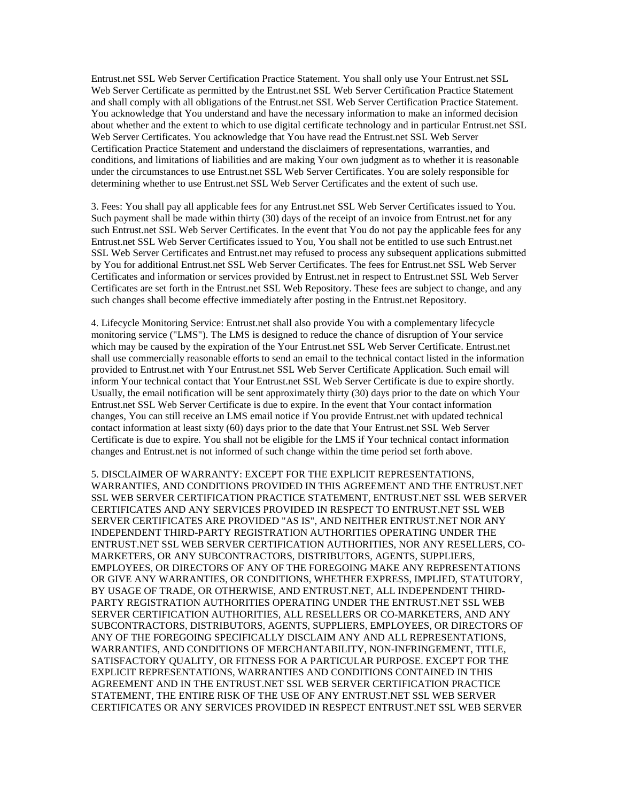Entrust.net SSL Web Server Certification Practice Statement. You shall only use Your Entrust.net SSL Web Server Certificate as permitted by the Entrust.net SSL Web Server Certification Practice Statement and shall comply with all obligations of the Entrust.net SSL Web Server Certification Practice Statement. You acknowledge that You understand and have the necessary information to make an informed decision about whether and the extent to which to use digital certificate technology and in particular Entrust.net SSL Web Server Certificates. You acknowledge that You have read the Entrust.net SSL Web Server Certification Practice Statement and understand the disclaimers of representations, warranties, and conditions, and limitations of liabilities and are making Your own judgment as to whether it is reasonable under the circumstances to use Entrust.net SSL Web Server Certificates. You are solely responsible for determining whether to use Entrust.net SSL Web Server Certificates and the extent of such use.

3. Fees: You shall pay all applicable fees for any Entrust.net SSL Web Server Certificates issued to You. Such payment shall be made within thirty (30) days of the receipt of an invoice from Entrust.net for any such Entrust.net SSL Web Server Certificates. In the event that You do not pay the applicable fees for any Entrust.net SSL Web Server Certificates issued to You, You shall not be entitled to use such Entrust.net SSL Web Server Certificates and Entrust.net may refused to process any subsequent applications submitted by You for additional Entrust.net SSL Web Server Certificates. The fees for Entrust.net SSL Web Server Certificates and information or services provided by Entrust.net in respect to Entrust.net SSL Web Server Certificates are set forth in the Entrust.net SSL Web Repository. These fees are subject to change, and any such changes shall become effective immediately after posting in the Entrust.net Repository.

4. Lifecycle Monitoring Service: Entrust.net shall also provide You with a complementary lifecycle monitoring service ("LMS"). The LMS is designed to reduce the chance of disruption of Your service which may be caused by the expiration of the Your Entrust.net SSL Web Server Certificate. Entrust.net shall use commercially reasonable efforts to send an email to the technical contact listed in the information provided to Entrust.net with Your Entrust.net SSL Web Server Certificate Application. Such email will inform Your technical contact that Your Entrust.net SSL Web Server Certificate is due to expire shortly. Usually, the email notification will be sent approximately thirty (30) days prior to the date on which Your Entrust.net SSL Web Server Certificate is due to expire. In the event that Your contact information changes, You can still receive an LMS email notice if You provide Entrust.net with updated technical contact information at least sixty (60) days prior to the date that Your Entrust.net SSL Web Server Certificate is due to expire. You shall not be eligible for the LMS if Your technical contact information changes and Entrust.net is not informed of such change within the time period set forth above.

5. DISCLAIMER OF WARRANTY: EXCEPT FOR THE EXPLICIT REPRESENTATIONS, WARRANTIES, AND CONDITIONS PROVIDED IN THIS AGREEMENT AND THE ENTRUST.NET SSL WEB SERVER CERTIFICATION PRACTICE STATEMENT, ENTRUST.NET SSL WEB SERVER CERTIFICATES AND ANY SERVICES PROVIDED IN RESPECT TO ENTRUST.NET SSL WEB SERVER CERTIFICATES ARE PROVIDED "AS IS", AND NEITHER ENTRUST.NET NOR ANY INDEPENDENT THIRD-PARTY REGISTRATION AUTHORITIES OPERATING UNDER THE ENTRUST.NET SSL WEB SERVER CERTIFICATION AUTHORITIES, NOR ANY RESELLERS, CO-MARKETERS, OR ANY SUBCONTRACTORS, DISTRIBUTORS, AGENTS, SUPPLIERS, EMPLOYEES, OR DIRECTORS OF ANY OF THE FOREGOING MAKE ANY REPRESENTATIONS OR GIVE ANY WARRANTIES, OR CONDITIONS, WHETHER EXPRESS, IMPLIED, STATUTORY, BY USAGE OF TRADE, OR OTHERWISE, AND ENTRUST.NET, ALL INDEPENDENT THIRD-PARTY REGISTRATION AUTHORITIES OPERATING UNDER THE ENTRUST.NET SSL WEB SERVER CERTIFICATION AUTHORITIES, ALL RESELLERS OR CO-MARKETERS, AND ANY SUBCONTRACTORS, DISTRIBUTORS, AGENTS, SUPPLIERS, EMPLOYEES, OR DIRECTORS OF ANY OF THE FOREGOING SPECIFICALLY DISCLAIM ANY AND ALL REPRESENTATIONS, WARRANTIES, AND CONDITIONS OF MERCHANTABILITY, NON-INFRINGEMENT, TITLE, SATISFACTORY QUALITY, OR FITNESS FOR A PARTICULAR PURPOSE. EXCEPT FOR THE EXPLICIT REPRESENTATIONS, WARRANTIES AND CONDITIONS CONTAINED IN THIS AGREEMENT AND IN THE ENTRUST.NET SSL WEB SERVER CERTIFICATION PRACTICE STATEMENT, THE ENTIRE RISK OF THE USE OF ANY ENTRUST.NET SSL WEB SERVER CERTIFICATES OR ANY SERVICES PROVIDED IN RESPECT ENTRUST.NET SSL WEB SERVER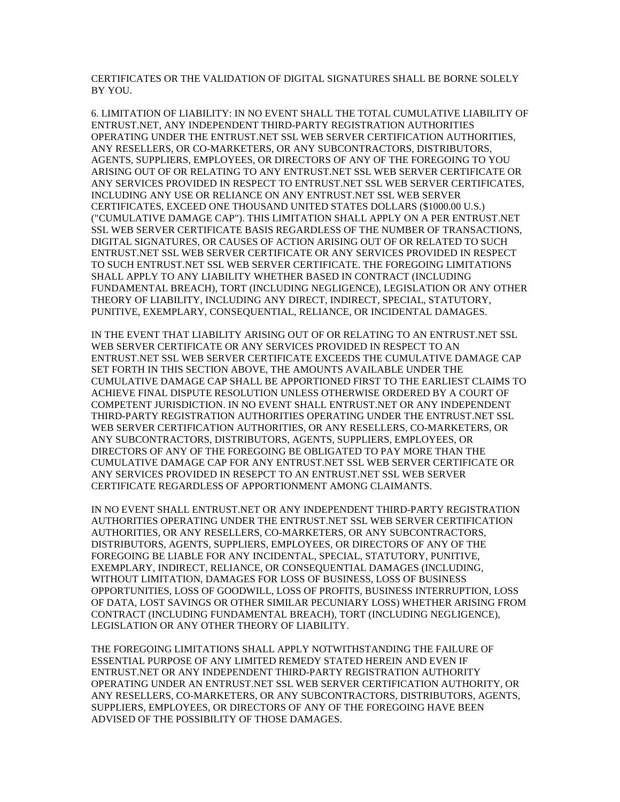CERTIFICATES OR THE VALIDATION OF DIGITAL SIGNATURES SHALL BE BORNE SOLELY BY YOU.

6. LIMITATION OF LIABILITY: IN NO EVENT SHALL THE TOTAL CUMULATIVE LIABILITY OF ENTRUST.NET, ANY INDEPENDENT THIRD-PARTY REGISTRATION AUTHORITIES OPERATING UNDER THE ENTRUST.NET SSL WEB SERVER CERTIFICATION AUTHORITIES, ANY RESELLERS, OR CO-MARKETERS, OR ANY SUBCONTRACTORS, DISTRIBUTORS, AGENTS, SUPPLIERS, EMPLOYEES, OR DIRECTORS OF ANY OF THE FOREGOING TO YOU ARISING OUT OF OR RELATING TO ANY ENTRUST.NET SSL WEB SERVER CERTIFICATE OR ANY SERVICES PROVIDED IN RESPECT TO ENTRUST.NET SSL WEB SERVER CERTIFICATES, INCLUDING ANY USE OR RELIANCE ON ANY ENTRUST.NET SSL WEB SERVER CERTIFICATES, EXCEED ONE THOUSAND UNITED STATES DOLLARS (\$1000.00 U.S.) ("CUMULATIVE DAMAGE CAP"). THIS LIMITATION SHALL APPLY ON A PER ENTRUST.NET SSL WEB SERVER CERTIFICATE BASIS REGARDLESS OF THE NUMBER OF TRANSACTIONS, DIGITAL SIGNATURES, OR CAUSES OF ACTION ARISING OUT OF OR RELATED TO SUCH ENTRUST.NET SSL WEB SERVER CERTIFICATE OR ANY SERVICES PROVIDED IN RESPECT TO SUCH ENTRUST.NET SSL WEB SERVER CERTIFICATE. THE FOREGOING LIMITATIONS SHALL APPLY TO ANY LIABILITY WHETHER BASED IN CONTRACT (INCLUDING FUNDAMENTAL BREACH), TORT (INCLUDING NEGLIGENCE), LEGISLATION OR ANY OTHER THEORY OF LIABILITY, INCLUDING ANY DIRECT, INDIRECT, SPECIAL, STATUTORY, PUNITIVE, EXEMPLARY, CONSEQUENTIAL, RELIANCE, OR INCIDENTAL DAMAGES.

IN THE EVENT THAT LIABILITY ARISING OUT OF OR RELATING TO AN ENTRUST.NET SSL WEB SERVER CERTIFICATE OR ANY SERVICES PROVIDED IN RESPECT TO AN ENTRUST.NET SSL WEB SERVER CERTIFICATE EXCEEDS THE CUMULATIVE DAMAGE CAP SET FORTH IN THIS SECTION ABOVE, THE AMOUNTS AVAILABLE UNDER THE CUMULATIVE DAMAGE CAP SHALL BE APPORTIONED FIRST TO THE EARLIEST CLAIMS TO ACHIEVE FINAL DISPUTE RESOLUTION UNLESS OTHERWISE ORDERED BY A COURT OF COMPETENT JURISDICTION. IN NO EVENT SHALL ENTRUST.NET OR ANY INDEPENDENT THIRD-PARTY REGISTRATION AUTHORITIES OPERATING UNDER THE ENTRUST.NET SSL WEB SERVER CERTIFICATION AUTHORITIES, OR ANY RESELLERS, CO-MARKETERS, OR ANY SUBCONTRACTORS, DISTRIBUTORS, AGENTS, SUPPLIERS, EMPLOYEES, OR DIRECTORS OF ANY OF THE FOREGOING BE OBLIGATED TO PAY MORE THAN THE CUMULATIVE DAMAGE CAP FOR ANY ENTRUST.NET SSL WEB SERVER CERTIFICATE OR ANY SERVICES PROVIDED IN RESEPCT TO AN ENTRUST.NET SSL WEB SERVER CERTIFICATE REGARDLESS OF APPORTIONMENT AMONG CLAIMANTS.

IN NO EVENT SHALL ENTRUST.NET OR ANY INDEPENDENT THIRD-PARTY REGISTRATION AUTHORITIES OPERATING UNDER THE ENTRUST.NET SSL WEB SERVER CERTIFICATION AUTHORITIES, OR ANY RESELLERS, CO-MARKETERS, OR ANY SUBCONTRACTORS, DISTRIBUTORS, AGENTS, SUPPLIERS, EMPLOYEES, OR DIRECTORS OF ANY OF THE FOREGOING BE LIABLE FOR ANY INCIDENTAL, SPECIAL, STATUTORY, PUNITIVE, EXEMPLARY, INDIRECT, RELIANCE, OR CONSEQUENTIAL DAMAGES (INCLUDING, WITHOUT LIMITATION, DAMAGES FOR LOSS OF BUSINESS, LOSS OF BUSINESS OPPORTUNITIES, LOSS OF GOODWILL, LOSS OF PROFITS, BUSINESS INTERRUPTION, LOSS OF DATA, LOST SAVINGS OR OTHER SIMILAR PECUNIARY LOSS) WHETHER ARISING FROM CONTRACT (INCLUDING FUNDAMENTAL BREACH), TORT (INCLUDING NEGLIGENCE), LEGISLATION OR ANY OTHER THEORY OF LIABILITY.

THE FOREGOING LIMITATIONS SHALL APPLY NOTWITHSTANDING THE FAILURE OF ESSENTIAL PURPOSE OF ANY LIMITED REMEDY STATED HEREIN AND EVEN IF ENTRUST.NET OR ANY INDEPENDENT THIRD-PARTY REGISTRATION AUTHORITY OPERATING UNDER AN ENTRUST.NET SSL WEB SERVER CERTIFICATION AUTHORITY, OR ANY RESELLERS, CO-MARKETERS, OR ANY SUBCONTRACTORS, DISTRIBUTORS, AGENTS, SUPPLIERS, EMPLOYEES, OR DIRECTORS OF ANY OF THE FOREGOING HAVE BEEN ADVISED OF THE POSSIBILITY OF THOSE DAMAGES.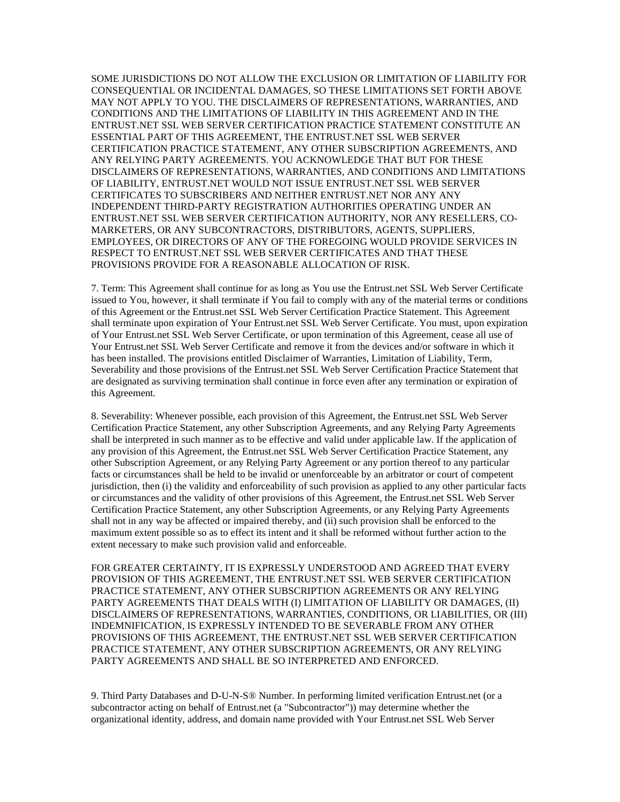SOME JURISDICTIONS DO NOT ALLOW THE EXCLUSION OR LIMITATION OF LIABILITY FOR CONSEQUENTIAL OR INCIDENTAL DAMAGES, SO THESE LIMITATIONS SET FORTH ABOVE MAY NOT APPLY TO YOU. THE DISCLAIMERS OF REPRESENTATIONS, WARRANTIES, AND CONDITIONS AND THE LIMITATIONS OF LIABILITY IN THIS AGREEMENT AND IN THE ENTRUST.NET SSL WEB SERVER CERTIFICATION PRACTICE STATEMENT CONSTITUTE AN ESSENTIAL PART OF THIS AGREEMENT, THE ENTRUST.NET SSL WEB SERVER CERTIFICATION PRACTICE STATEMENT, ANY OTHER SUBSCRIPTION AGREEMENTS, AND ANY RELYING PARTY AGREEMENTS. YOU ACKNOWLEDGE THAT BUT FOR THESE DISCLAIMERS OF REPRESENTATIONS, WARRANTIES, AND CONDITIONS AND LIMITATIONS OF LIABILITY, ENTRUST.NET WOULD NOT ISSUE ENTRUST.NET SSL WEB SERVER CERTIFICATES TO SUBSCRIBERS AND NEITHER ENTRUST.NET NOR ANY ANY INDEPENDENT THIRD-PARTY REGISTRATION AUTHORITIES OPERATING UNDER AN ENTRUST.NET SSL WEB SERVER CERTIFICATION AUTHORITY, NOR ANY RESELLERS, CO-MARKETERS, OR ANY SUBCONTRACTORS, DISTRIBUTORS, AGENTS, SUPPLIERS, EMPLOYEES, OR DIRECTORS OF ANY OF THE FOREGOING WOULD PROVIDE SERVICES IN RESPECT TO ENTRUST.NET SSL WEB SERVER CERTIFICATES AND THAT THESE PROVISIONS PROVIDE FOR A REASONABLE ALLOCATION OF RISK.

7. Term: This Agreement shall continue for as long as You use the Entrust.net SSL Web Server Certificate issued to You, however, it shall terminate if You fail to comply with any of the material terms or conditions of this Agreement or the Entrust.net SSL Web Server Certification Practice Statement. This Agreement shall terminate upon expiration of Your Entrust.net SSL Web Server Certificate. You must, upon expiration of Your Entrust.net SSL Web Server Certificate, or upon termination of this Agreement, cease all use of Your Entrust.net SSL Web Server Certificate and remove it from the devices and/or software in which it has been installed. The provisions entitled Disclaimer of Warranties, Limitation of Liability, Term, Severability and those provisions of the Entrust.net SSL Web Server Certification Practice Statement that are designated as surviving termination shall continue in force even after any termination or expiration of this Agreement.

8. Severability: Whenever possible, each provision of this Agreement, the Entrust.net SSL Web Server Certification Practice Statement, any other Subscription Agreements, and any Relying Party Agreements shall be interpreted in such manner as to be effective and valid under applicable law. If the application of any provision of this Agreement, the Entrust.net SSL Web Server Certification Practice Statement, any other Subscription Agreement, or any Relying Party Agreement or any portion thereof to any particular facts or circumstances shall be held to be invalid or unenforceable by an arbitrator or court of competent jurisdiction, then (i) the validity and enforceability of such provision as applied to any other particular facts or circumstances and the validity of other provisions of this Agreement, the Entrust.net SSL Web Server Certification Practice Statement, any other Subscription Agreements, or any Relying Party Agreements shall not in any way be affected or impaired thereby, and (ii) such provision shall be enforced to the maximum extent possible so as to effect its intent and it shall be reformed without further action to the extent necessary to make such provision valid and enforceable.

FOR GREATER CERTAINTY, IT IS EXPRESSLY UNDERSTOOD AND AGREED THAT EVERY PROVISION OF THIS AGREEMENT, THE ENTRUST.NET SSL WEB SERVER CERTIFICATION PRACTICE STATEMENT, ANY OTHER SUBSCRIPTION AGREEMENTS OR ANY RELYING PARTY AGREEMENTS THAT DEALS WITH (I) LIMITATION OF LIABILITY OR DAMAGES, (II) DISCLAIMERS OF REPRESENTATIONS, WARRANTIES, CONDITIONS, OR LIABILITIES, OR (III) INDEMNIFICATION, IS EXPRESSLY INTENDED TO BE SEVERABLE FROM ANY OTHER PROVISIONS OF THIS AGREEMENT, THE ENTRUST.NET SSL WEB SERVER CERTIFICATION PRACTICE STATEMENT, ANY OTHER SUBSCRIPTION AGREEMENTS, OR ANY RELYING PARTY AGREEMENTS AND SHALL BE SO INTERPRETED AND ENFORCED.

9. Third Party Databases and D-U-N-S® Number. In performing limited verification Entrust.net (or a subcontractor acting on behalf of Entrust.net (a "Subcontractor")) may determine whether the organizational identity, address, and domain name provided with Your Entrust.net SSL Web Server